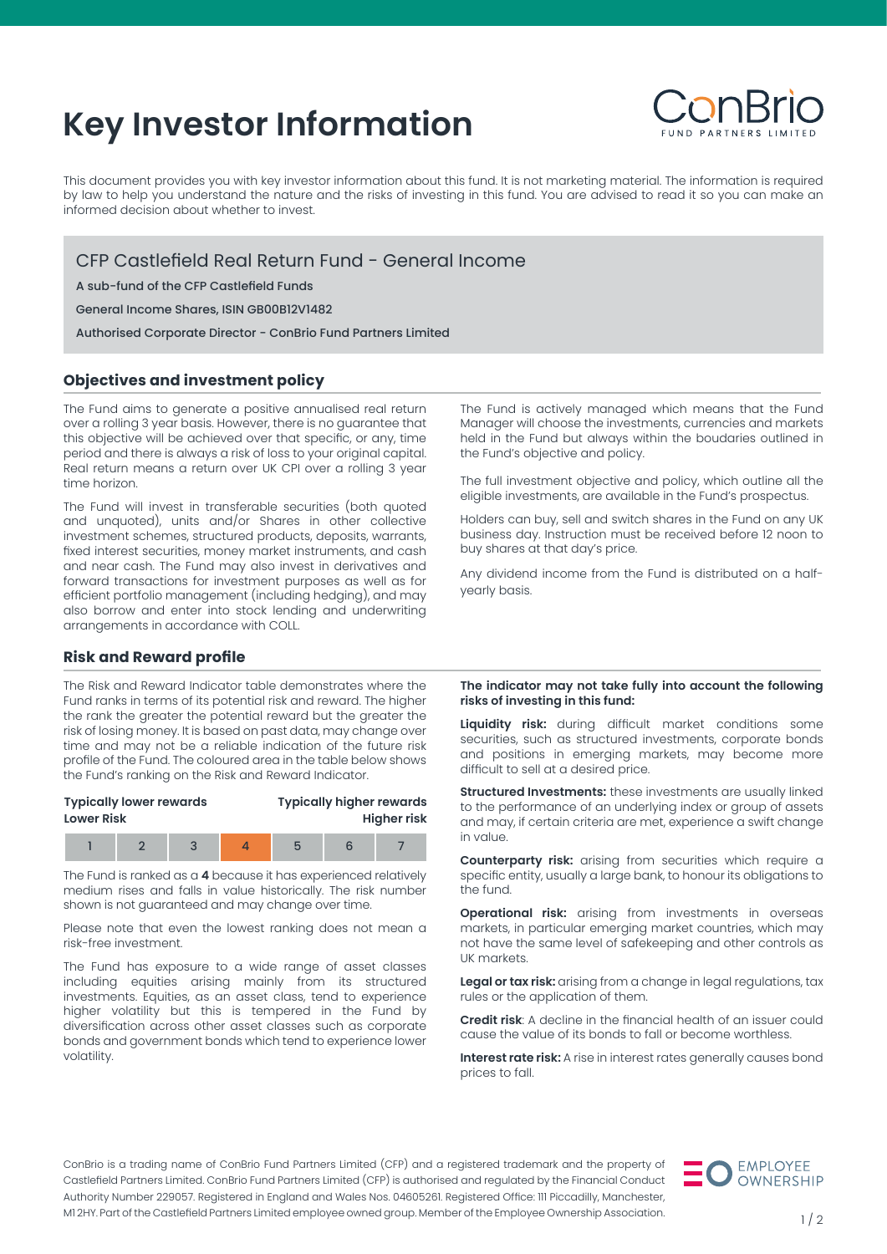# **Key Investor Information**



This document provides you with key investor information about this fund. It is not marketing material. The information is required by law to help you understand the nature and the risks of investing in this fund. You are advised to read it so you can make an informed decision about whether to invest.

## CFP Castlefield Real Return Fund - General Income

A sub-fund of the CFP Castlefield Funds

General Income Shares, ISIN GB00B12V1482

Authorised Corporate Director - ConBrio Fund Partners Limited

## **Objectives and investment policy**

The Fund aims to generate a positive annualised real return over a rolling 3 year basis. However, there is no guarantee that this objective will be achieved over that specific, or any, time period and there is always a risk of loss to your original capital. Real return means a return over UK CPI over a rolling 3 year time horizon.

The Fund will invest in transferable securities (both quoted and unquoted), units and/or Shares in other collective investment schemes, structured products, deposits, warrants, fixed interest securities, money market instruments, and cash and near cash. The Fund may also invest in derivatives and forward transactions for investment purposes as well as for efficient portfolio management (including hedging), and may also borrow and enter into stock lending and underwriting arrangements in accordance with COLL.

### **Risk and Reward profile**

The Risk and Reward Indicator table demonstrates where the Fund ranks in terms of its potential risk and reward. The higher the rank the greater the potential reward but the greater the risk of losing money. It is based on past data, may change over time and may not be a reliable indication of the future risk profile of the Fund. The coloured area in the table below shows the Fund's ranking on the Risk and Reward Indicator.

| <b>Typically lower rewards</b><br><b>Lower Risk</b> |  | <b>Typically higher rewards</b><br><b>Higher risk</b> |  |  |  |  |
|-----------------------------------------------------|--|-------------------------------------------------------|--|--|--|--|
|                                                     |  |                                                       |  |  |  |  |

The Fund is ranked as a **4** because it has experienced relatively medium rises and falls in value historically. The risk number shown is not guaranteed and may change over time.

Please note that even the lowest ranking does not mean a risk-free investment.

The Fund has exposure to a wide range of asset classes including equities arising mainly from its structured investments. Equities, as an asset class, tend to experience higher volatility but this is tempered in the Fund by diversification across other asset classes such as corporate bonds and government bonds which tend to experience lower volatility.

The Fund is actively managed which means that the Fund Manager will choose the investments, currencies and markets held in the Fund but always within the boudaries outlined in the Fund's objective and policy.

The full investment objective and policy, which outline all the eligible investments, are available in the Fund's prospectus.

Holders can buy, sell and switch shares in the Fund on any UK business day. Instruction must be received before 12 noon to buy shares at that day's price.

Any dividend income from the Fund is distributed on a halfyearly basis.

#### **The indicator may not take fully into account the following risks of investing in this fund:**

**Liquidity risk:** during difficult market conditions some securities, such as structured investments, corporate bonds and positions in emerging markets, may become more difficult to sell at a desired price.

**Structured Investments:** these investments are usually linked to the performance of an underlying index or group of assets and may, if certain criteria are met, experience a swift change in value.

**Counterparty risk:** arising from securities which require a specific entity, usually a large bank, to honour its obligations to the fund.

**Operational risk:** arising from investments in overseas markets, in particular emerging market countries, which may not have the same level of safekeeping and other controls as UK markets.

**Legal or tax risk:** arising from a change in legal regulations, tax rules or the application of them.

**Credit risk**: A decline in the financial health of an issuer could cause the value of its bonds to fall or become worthless.

**Interest rate risk:** A rise in interest rates generally causes bond prices to fall.

ConBrio is a trading name of ConBrio Fund Partners Limited (CFP) and a registered trademark and the property of Castlefield Partners Limited. ConBrio Fund Partners Limited (CFP) is authorised and regulated by the Financial Conduct Authority Number 229057. Registered in England and Wales Nos. 04605261. Registered Office: 111 Piccadilly, Manchester, M1 2HY. Part of the Castlefield Partners Limited employee owned group. Member of the Employee Ownership Association.